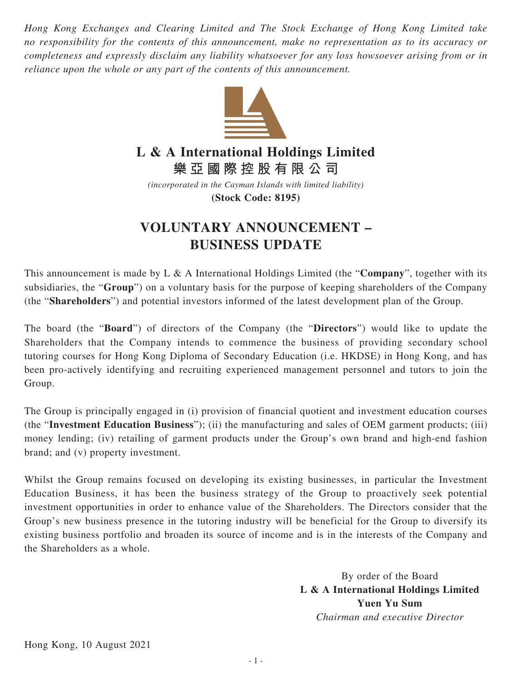*Hong Kong Exchanges and Clearing Limited and The Stock Exchange of Hong Kong Limited take no responsibility for the contents of this announcement, make no representation as to its accuracy or completeness and expressly disclaim any liability whatsoever for any loss howsoever arising from or in reliance upon the whole or any part of the contents of this announcement.*



## **L & A International Holdings Limited**

**樂亞國際控股有限公司**

*(incorporated in the Cayman Islands with limited liability)* **(Stock Code: 8195)**

## **VOLUNTARY ANNOUNCEMENT – BUSINESS UPDATE**

This announcement is made by L & A International Holdings Limited (the "**Company**", together with its subsidiaries, the "**Group**") on a voluntary basis for the purpose of keeping shareholders of the Company (the "**Shareholders**") and potential investors informed of the latest development plan of the Group.

The board (the "**Board**") of directors of the Company (the "**Directors**") would like to update the Shareholders that the Company intends to commence the business of providing secondary school tutoring courses for Hong Kong Diploma of Secondary Education (i.e. HKDSE) in Hong Kong, and has been pro-actively identifying and recruiting experienced management personnel and tutors to join the Group.

The Group is principally engaged in (i) provision of financial quotient and investment education courses (the "**Investment Education Business**"); (ii) the manufacturing and sales of OEM garment products; (iii) money lending; (iv) retailing of garment products under the Group's own brand and high-end fashion brand; and (v) property investment.

Whilst the Group remains focused on developing its existing businesses, in particular the Investment Education Business, it has been the business strategy of the Group to proactively seek potential investment opportunities in order to enhance value of the Shareholders. The Directors consider that the Group's new business presence in the tutoring industry will be beneficial for the Group to diversify its existing business portfolio and broaden its source of income and is in the interests of the Company and the Shareholders as a whole.

> By order of the Board **L & A International Holdings Limited Yuen Yu Sum** *Chairman and executive Director*

Hong Kong, 10 August 2021